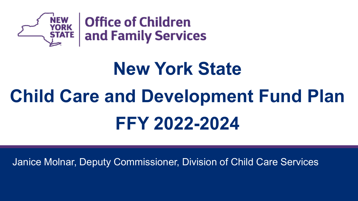

### **New York State**

## **Child Care and Development Fund Plan FFY 2022-2024**

**May 21, 2021** Janice Molnar, Deputy Commissioner, Division of Child Care Services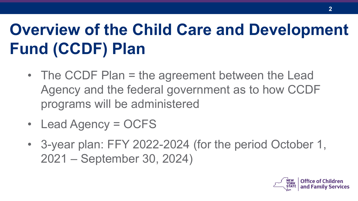### **Overview of the Child Care and Development Fund (CCDF) Plan**

- The CCDF Plan = the agreement between the Lead Agency and the federal government as to how CCDF programs will be administered
- Lead Agency = OCFS
- 3-year plan: FFY 2022-2024 (for the period October 1, 2021 – September 30, 2024)

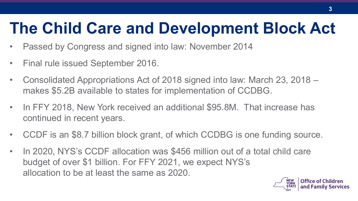### **The Child Care and Development Block Act**

- Passed by Congress and signed into law: November 2014
- Final rule issued September 2016.
- Consolidated Appropriations Act of 2018 signed into law: March 23, 2018 makes \$5.2B available to states for implementation of CCDBG.
- In FFY 2018, New York received an additional \$95.8M. That increase has continued in recent years.
- CCDF is an \$8.7 billion block grant, of which CCDBG is one funding source.
- In 2020, NYS's CCDF allocation was \$456 million out of a total child care budget of over \$1 billion. For FFY 2021, we expect NYS's allocation to be at least the same as 2020.

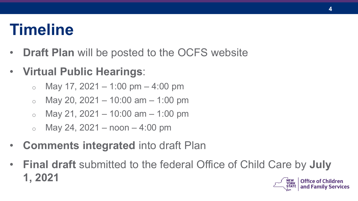### **Timeline**

- **Draft Plan** will be posted to the OCFS website
- **Virtual Public Hearings**:
	- $\circ$  May 17, 2021 1:00 pm 4:00 pm
	- $\circ$  May 20, 2021 10:00 am 1:00 pm
	- $\circ$  May 21, 2021 10:00 am 1:00 pm
	- $\circ$  May 24, 2021 noon 4:00 pm
- **Comments integrated** into draft Plan
- **Final draft** submitted to the federal Office of Child Care by **July 1, 2021 Office of Children NEW<br>YORK**

and Family Services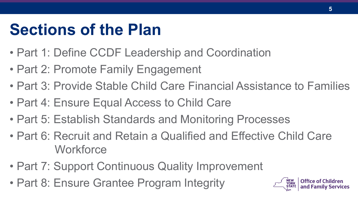### **Sections of the Plan**

- Part 1: Define CCDF Leadership and Coordination
- Part 2: Promote Family Engagement
- Part 3: Provide Stable Child Care Financial Assistance to Families
- Part 4: Ensure Equal Access to Child Care
- Part 5: Establish Standards and Monitoring Processes
- Part 6: Recruit and Retain a Qualified and Effective Child Care **Workforce**
- Part 7: Support Continuous Quality Improvement
- Part 8: Ensure Grantee Program Integrity

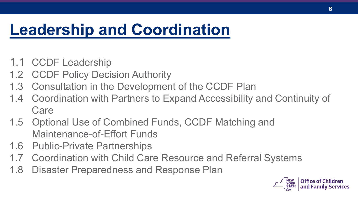### **Leadership and Coordination**

- 1.1 CCDF Leadership
- 1.2 CCDF Policy Decision Authority
- 1.3 Consultation in the Development of the CCDF Plan
- 1.4 Coordination with Partners to Expand Accessibility and Continuity of Care
- 1.5 Optional Use of Combined Funds, CCDF Matching and Maintenance-of-Effort Funds
- 1.6 Public-Private Partnerships
- 1.7 Coordination with Child Care Resource and Referral Systems
- 1.8 Disaster Preparedness and Response Plan

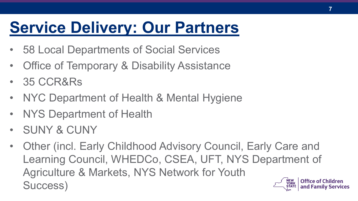### **Service Delivery: Our Partners**

- 58 Local Departments of Social Services
- Office of Temporary & Disability Assistance
- 35 CCR&Rs
- NYC Department of Health & Mental Hygiene
- NYS Department of Health
- SUNY & CUNY
- Other (incl. Early Childhood Advisory Council, Early Care and Learning Council, WHEDCo, CSEA, UFT, NYS Department of Agriculture & Markets, NYS Network for Youth **Office of Children NEW** Success) **YORK** and Family Services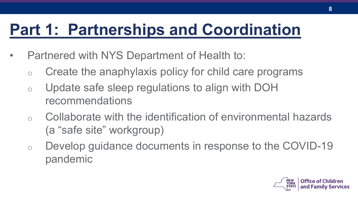### **Part 1: Partnerships and Coordination**

- Partnered with NYS Department of Health to:
	- o Create the anaphylaxis policy for child care programs
	- o Update safe sleep regulations to align with DOH recommendations
	- $\circ$  Collaborate with the identification of environmental hazards (a "safe site" workgroup)
	- o Develop guidance documents in response to the COVID-19 pandemic

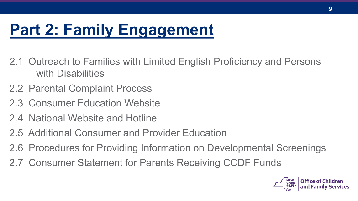### **Part 2: Family Engagement**

- 2.1 Outreach to Families with Limited English Proficiency and Persons with Disabilities
- 2.2 Parental Complaint Process
- 2.3 Consumer Education Website
- 2.4 National Website and Hotline
- 2.5 Additional Consumer and Provider Education
- 2.6 Procedures for Providing Information on Developmental Screenings
- 2.7 Consumer Statement for Parents Receiving CCDF Funds

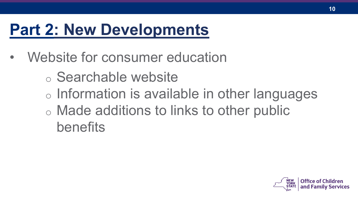- Website for consumer education
	- o Searchable website o Information is available in other languages o Made additions to links to other public benefits

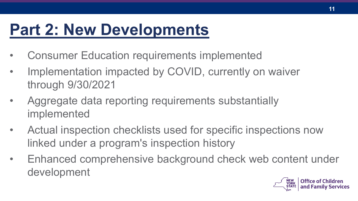- Consumer Education requirements implemented
- Implementation impacted by COVID, currently on waiver through 9/30/2021
- Aggregate data reporting requirements substantially implemented
- Actual inspection checklists used for specific inspections now linked under a program's inspection history
- Enhanced comprehensive background check web content under development

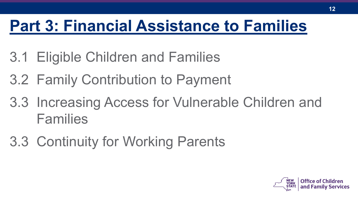### **Part 3: Financial Assistance to Families**

- 3.1 Eligible Children and Families
- 3.2 Family Contribution to Payment
- 3.3 Increasing Access for Vulnerable Children and Families
- 3.3 Continuity for Working Parents

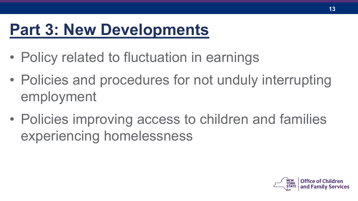- Policy related to fluctuation in earnings
- Policies and procedures for not unduly interrupting employment
- Policies improving access to children and families experiencing homelessness

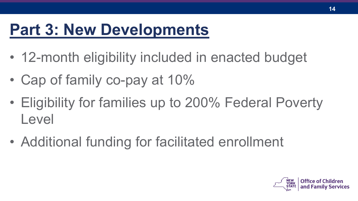- 12-month eligibility included in enacted budget
- Cap of family co-pay at 10%
- Eligibility for families up to 200% Federal Poverty Level
- Additional funding for facilitated enrollment

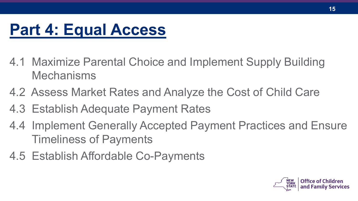### **Part 4: Equal Access**

- 4.1 Maximize Parental Choice and Implement Supply Building Mechanisms
- 4.2 Assess Market Rates and Analyze the Cost of Child Care
- 4.3 Establish Adequate Payment Rates
- 4.4 Implement Generally Accepted Payment Practices and Ensure Timeliness of Payments
- 4.5 Establish Affordable Co-Payments

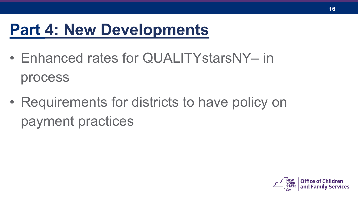- Enhanced rates for QUALITYstarsNY– in process
- Requirements for districts to have policy on payment practices

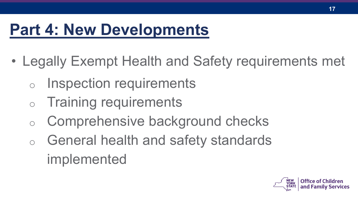- Legally Exempt Health and Safety requirements met
	- o Inspection requirements
	- o Training requirements
	- o Comprehensive background checks
	- o General health and safety standards implemented

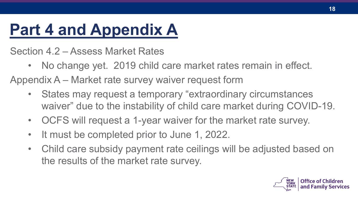### **Part 4 and Appendix A**

Section 4.2 – Assess Market Rates

- No change yet. 2019 child care market rates remain in effect. Appendix A – Market rate survey waiver request form
	- States may request a temporary "extraordinary circumstances" waiver" due to the instability of child care market during COVID-19.
	- OCFS will request a 1-year waiver for the market rate survey.
	- It must be completed prior to June 1, 2022.
	- Child care subsidy payment rate ceilings will be adjusted based on the results of the market rate survey.

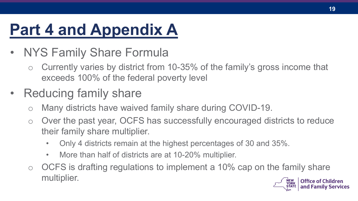### **Part 4 and Appendix A**

- NYS Family Share Formula
	- o Currently varies by district from 10-35% of the family's gross income that exceeds 100% of the federal poverty level
- Reducing family share
	- o Many districts have waived family share during COVID-19.
	- o Over the past year, OCFS has successfully encouraged districts to reduce their family share multiplier.
		- Only 4 districts remain at the highest percentages of 30 and 35%.
		- More than half of districts are at 10-20% multiplier.
	- $\circ$  OCFS is drafting regulations to implement a 10% cap on the family share multiplier.NEW<br>YORK

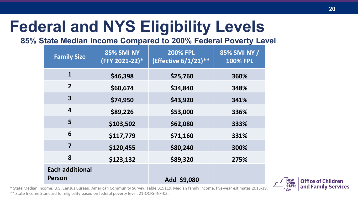### **Federal and NYS Eligibility Levels**

#### **85% State Median Income Compared to 200% Federal Poverty Level**

| <b>Family Size</b>                      | <b>85% SMI NY</b><br>(FFY 2021-22)* | <b>200% FPL</b><br>(Effective 6/1/21)** | 85% SMI NY /<br><b>100% FPL</b> |
|-----------------------------------------|-------------------------------------|-----------------------------------------|---------------------------------|
| $\mathbf{1}$                            | \$46,398                            | \$25,760                                | 360%                            |
| $\overline{2}$                          | \$60,674                            | \$34,840                                | 348%                            |
| 3                                       | \$74,950                            | \$43,920                                | 341%                            |
| $\overline{\mathbf{4}}$                 | \$89,226                            | \$53,000                                | 336%                            |
| 5                                       | \$103,502                           | \$62,080                                | 333%                            |
| 6                                       | \$117,779                           | \$71,160                                | 331%                            |
| $\overline{7}$                          | \$120,455                           | \$80,240                                | 300%                            |
| 8                                       | \$123,132                           | \$89,320                                | 275%                            |
| <b>Each additional</b><br><b>Person</b> |                                     | Add \$9,080                             |                                 |

\* State Median Income: U.S. Census Bureau, American Community Survey, Table B19119, Median family income, five-year estimates 2015-19. \*\* State Income Standard for eligibility based on federal poverty level, 21-OCFS-INF-03.

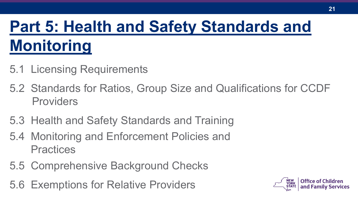### **Part 5: Health and Safety Standards and Monitoring**

- 5.1 Licensing Requirements
- 5.2 Standards for Ratios, Group Size and Qualifications for CCDF Providers
- 5.3 Health and Safety Standards and Training
- 5.4 Monitoring and Enforcement Policies and **Practices**
- 5.5 Comprehensive Background Checks
- 5.6 Exemptions for Relative Providers

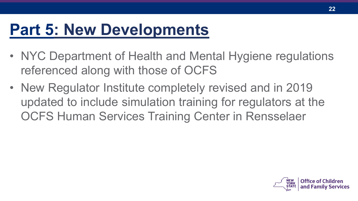- NYC Department of Health and Mental Hygiene regulations referenced along with those of OCFS
- New Regulator Institute completely revised and in 2019 updated to include simulation training for regulators at the OCFS Human Services Training Center in Rensselaer

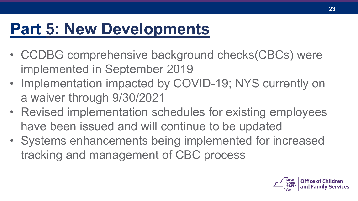- CCDBG comprehensive background checks(CBCs) were implemented in September 2019
- Implementation impacted by COVID-19; NYS currently on a waiver through 9/30/2021
- Revised implementation schedules for existing employees have been issued and will continue to be updated
- Systems enhancements being implemented for increased tracking and management of CBC process

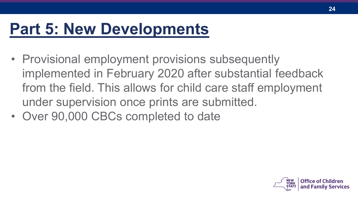- Provisional employment provisions subsequently implemented in February 2020 after substantial feedback from the field. This allows for child care staff employment under supervision once prints are submitted.
- Over 90,000 CBCs completed to date

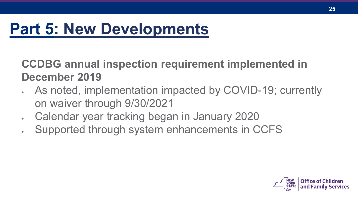**CCDBG annual inspection requirement implemented in December 2019**

- As noted, implementation impacted by COVID-19; currently on waiver through 9/30/2021
- Calendar year tracking began in January 2020
- Supported through system enhancements in CCFS

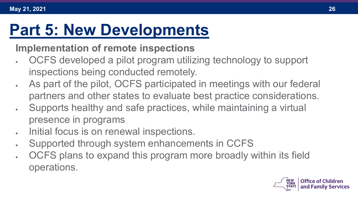#### **Implementation of remote inspections**

- OCFS developed a pilot program utilizing technology to support inspections being conducted remotely.
- As part of the pilot, OCFS participated in meetings with our federal partners and other states to evaluate best practice considerations.
- Supports healthy and safe practices, while maintaining a virtual presence in programs
- Initial focus is on renewal inspections.
- Supported through system enhancements in CCFS
- OCFS plans to expand this program more broadly within its field operations.

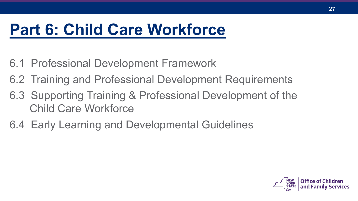### **Part 6: Child Care Workforce**

- 6.1 Professional Development Framework
- 6.2 Training and Professional Development Requirements
- 6.3 Supporting Training & Professional Development of the Child Care Workforce
- 6.4 Early Learning and Developmental Guidelines

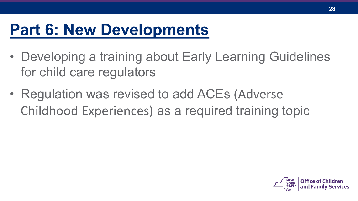- Developing a training about Early Learning Guidelines for child care regulators
- Regulation was revised to add ACEs (Adverse Childhood Experiences) as a required training topic

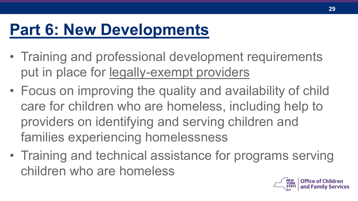- Training and professional development requirements put in place for legally-exempt providers
- Focus on improving the quality and availability of child care for children who are homeless, including help to providers on identifying and serving children and families experiencing homelessness
- Training and technical assistance for programs serving children who are homeless

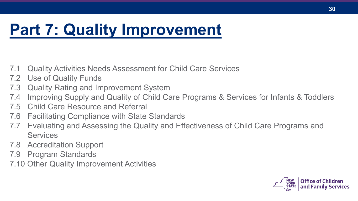### **Part 7: Quality Improvement**

- 7.1 Quality Activities Needs Assessment for Child Care Services
- 7.2 Use of Quality Funds
- 7.3 Quality Rating and Improvement System
- 7.4 Improving Supply and Quality of Child Care Programs & Services for Infants & Toddlers
- 7.5 Child Care Resource and Referral
- 7.6 Facilitating Compliance with State Standards
- 7.7 Evaluating and Assessing the Quality and Effectiveness of Child Care Programs and **Services**
- 7.8 Accreditation Support
- 7.9 Program Standards
- 7.10 Other Quality Improvement Activities

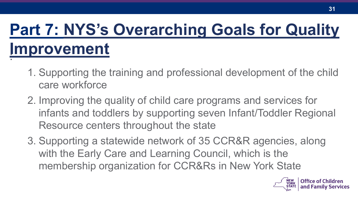#### : **Part 7: NYS's Overarching Goals for Quality Improvement**

- 1. Supporting the training and professional development of the child care workforce
- 2. Improving the quality of child care programs and services for infants and toddlers by supporting seven Infant/Toddler Regional Resource centers throughout the state
- 3. Supporting a statewide network of 35 CCR&R agencies, along with the Early Care and Learning Council, which is the membership organization for CCR&Rs in New York State

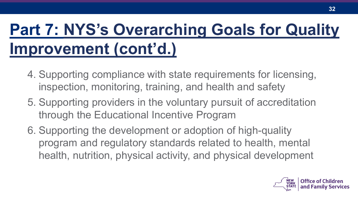### **Part 7: NYS's Overarching Goals for Quality Improvement (cont'd.)**

- 4. Supporting compliance with state requirements for licensing, inspection, monitoring, training, and health and safety
- 5. Supporting providers in the voluntary pursuit of accreditation through the Educational Incentive Program
- 6. Supporting the development or adoption of high-quality program and regulatory standards related to health, mental health, nutrition, physical activity, and physical development

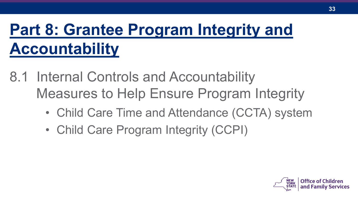### **Part 8: Grantee Program Integrity and Accountability**

- 8.1 Internal Controls and Accountability Measures to Help Ensure Program Integrity
	- Child Care Time and Attendance (CCTA) system
	- Child Care Program Integrity (CCPI)

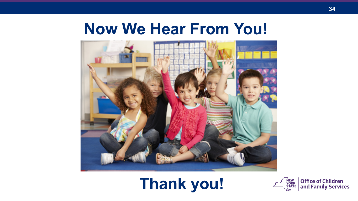### **Now We Hear From You!**



### **Thank you!**